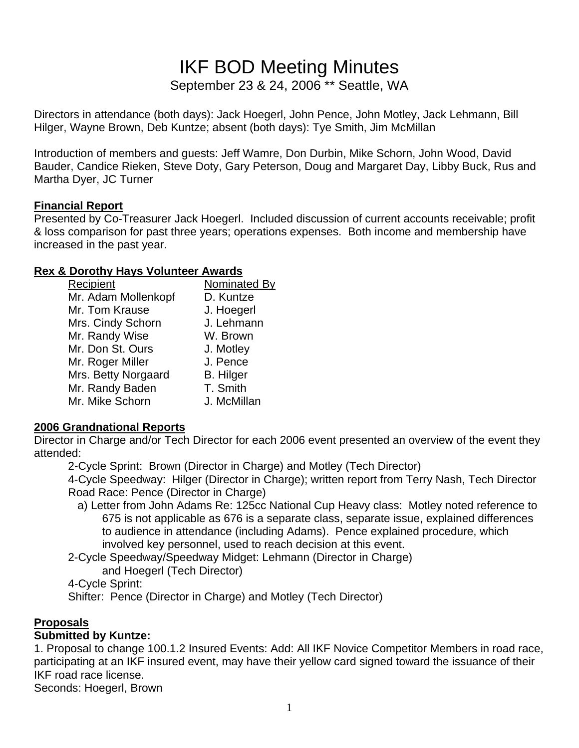# IKF BOD Meeting Minutes

September 23 & 24, 2006 \*\* Seattle, WA

Directors in attendance (both days): Jack Hoegerl, John Pence, John Motley, Jack Lehmann, Bill Hilger, Wayne Brown, Deb Kuntze; absent (both days): Tye Smith, Jim McMillan

Introduction of members and guests: Jeff Wamre, Don Durbin, Mike Schorn, John Wood, David Bauder, Candice Rieken, Steve Doty, Gary Peterson, Doug and Margaret Day, Libby Buck, Rus and Martha Dyer, JC Turner

#### **Financial Report**

Presented by Co-Treasurer Jack Hoegerl. Included discussion of current accounts receivable; profit & loss comparison for past three years; operations expenses. Both income and membership have increased in the past year.

#### **Rex & Dorothy Hays Volunteer Awards**

| Recipient           | Nominated By     |
|---------------------|------------------|
| Mr. Adam Mollenkopf | D. Kuntze        |
| Mr. Tom Krause      | J. Hoegerl       |
| Mrs. Cindy Schorn   | J. Lehmann       |
| Mr. Randy Wise      | W. Brown         |
| Mr. Don St. Ours    | J. Motley        |
| Mr. Roger Miller    | J. Pence         |
| Mrs. Betty Norgaard | <b>B.</b> Hilger |
| Mr. Randy Baden     | T. Smith         |
| Mr. Mike Schorn     | J. McMillan      |
|                     |                  |

# **2006 Grandnational Reports**

Director in Charge and/or Tech Director for each 2006 event presented an overview of the event they attended:

2-Cycle Sprint: Brown (Director in Charge) and Motley (Tech Director)

 4-Cycle Speedway: Hilger (Director in Charge); written report from Terry Nash, Tech Director Road Race: Pence (Director in Charge)

 a) Letter from John Adams Re: 125cc National Cup Heavy class: Motley noted reference to 675 is not applicable as 676 is a separate class, separate issue, explained differences to audience in attendance (including Adams). Pence explained procedure, which involved key personnel, used to reach decision at this event.

2-Cycle Speedway/Speedway Midget: Lehmann (Director in Charge)

and Hoegerl (Tech Director)

4-Cycle Sprint:

Shifter: Pence (Director in Charge) and Motley (Tech Director)

# **Proposals**

# **Submitted by Kuntze:**

1. Proposal to change 100.1.2 Insured Events: Add: All IKF Novice Competitor Members in road race, participating at an IKF insured event, may have their yellow card signed toward the issuance of their IKF road race license.

Seconds: Hoegerl, Brown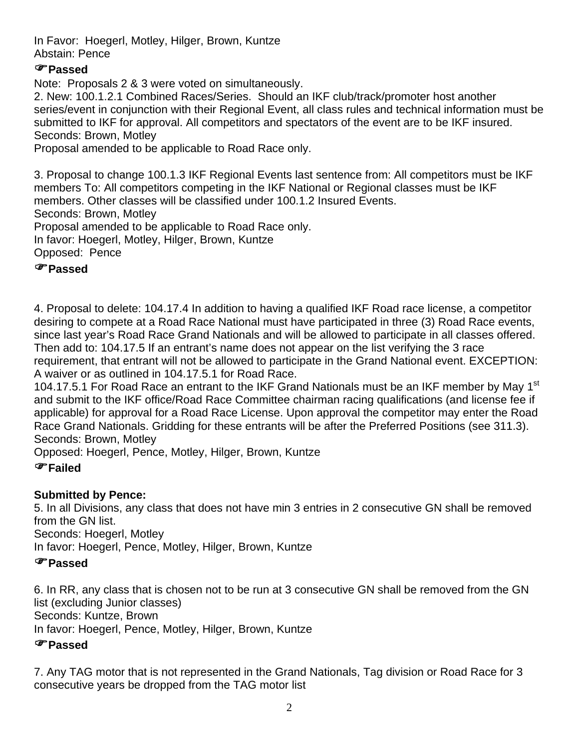In Favor: Hoegerl, Motley, Hilger, Brown, Kuntze Abstain: Pence

# )**Passed**

Note: Proposals 2 & 3 were voted on simultaneously.

2. New: 100.1.2.1 Combined Races/Series. Should an IKF club/track/promoter host another series/event in conjunction with their Regional Event, all class rules and technical information must be submitted to IKF for approval. All competitors and spectators of the event are to be IKF insured. Seconds: Brown, Motley

Proposal amended to be applicable to Road Race only.

3. Proposal to change 100.1.3 IKF Regional Events last sentence from: All competitors must be IKF members To: All competitors competing in the IKF National or Regional classes must be IKF members. Other classes will be classified under 100.1.2 Insured Events. Seconds: Brown, Motley Proposal amended to be applicable to Road Race only. In favor: Hoegerl, Motley, Hilger, Brown, Kuntze Opposed: Pence )**Passed**

4. Proposal to delete: 104.17.4 In addition to having a qualified IKF Road race license, a competitor desiring to compete at a Road Race National must have participated in three (3) Road Race events, since last year's Road Race Grand Nationals and will be allowed to participate in all classes offered. Then add to: 104.17.5 If an entrant's name does not appear on the list verifying the 3 race requirement, that entrant will not be allowed to participate in the Grand National event. EXCEPTION: A waiver or as outlined in 104.17.5.1 for Road Race.

104.17.5.1 For Road Race an entrant to the IKF Grand Nationals must be an IKF member by May 1<sup>st</sup> and submit to the IKF office/Road Race Committee chairman racing qualifications (and license fee if applicable) for approval for a Road Race License. Upon approval the competitor may enter the Road Race Grand Nationals. Gridding for these entrants will be after the Preferred Positions (see 311.3). Seconds: Brown, Motley

Opposed: Hoegerl, Pence, Motley, Hilger, Brown, Kuntze

# )**Failed**

# **Submitted by Pence:**

5. In all Divisions, any class that does not have min 3 entries in 2 consecutive GN shall be removed from the GN list.

Seconds: Hoegerl, Motley

In favor: Hoegerl, Pence, Motley, Hilger, Brown, Kuntze

# )**Passed**

6. In RR, any class that is chosen not to be run at 3 consecutive GN shall be removed from the GN list (excluding Junior classes) Seconds: Kuntze, Brown In favor: Hoegerl, Pence, Motley, Hilger, Brown, Kuntze

# )**Passed**

7. Any TAG motor that is not represented in the Grand Nationals, Tag division or Road Race for 3 consecutive years be dropped from the TAG motor list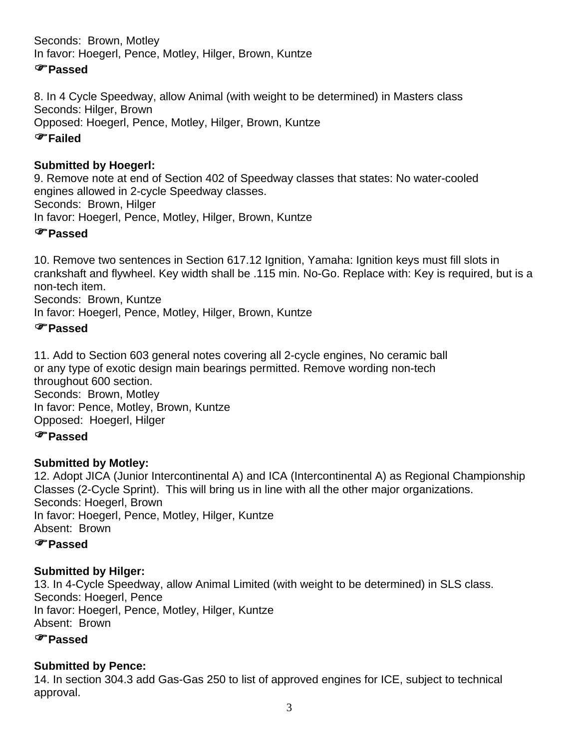Seconds: Brown, Motley In favor: Hoegerl, Pence, Motley, Hilger, Brown, Kuntze

# )**Passed**

8. In 4 Cycle Speedway, allow Animal (with weight to be determined) in Masters class Seconds: Hilger, Brown Opposed: Hoegerl, Pence, Motley, Hilger, Brown, Kuntze

# )**Failed**

# **Submitted by Hoegerl:**

9. Remove note at end of Section 402 of Speedway classes that states: No water-cooled engines allowed in 2-cycle Speedway classes. Seconds: Brown, Hilger In favor: Hoegerl, Pence, Motley, Hilger, Brown, Kuntze

# )**Passed**

10. Remove two sentences in Section 617.12 Ignition, Yamaha: Ignition keys must fill slots in crankshaft and flywheel. Key width shall be .115 min. No-Go. Replace with: Key is required, but is a non-tech item.

Seconds: Brown, Kuntze

In favor: Hoegerl, Pence, Motley, Hilger, Brown, Kuntze

# )**Passed**

11. Add to Section 603 general notes covering all 2-cycle engines, No ceramic ball or any type of exotic design main bearings permitted. Remove wording non-tech throughout 600 section. Seconds: Brown, Motley In favor: Pence, Motley, Brown, Kuntze Opposed: Hoegerl, Hilger

# )**Passed**

# **Submitted by Motley:**

12. Adopt JICA (Junior Intercontinental A) and ICA (Intercontinental A) as Regional Championship Classes (2-Cycle Sprint). This will bring us in line with all the other major organizations. Seconds: Hoegerl, Brown In favor: Hoegerl, Pence, Motley, Hilger, Kuntze Absent: Brown

# )**Passed**

# **Submitted by Hilger:**

13. In 4-Cycle Speedway, allow Animal Limited (with weight to be determined) in SLS class. Seconds: Hoegerl, Pence In favor: Hoegerl, Pence, Motley, Hilger, Kuntze Absent: Brown

# )**Passed**

# **Submitted by Pence:**

14. In section 304.3 add Gas-Gas 250 to list of approved engines for ICE, subject to technical approval.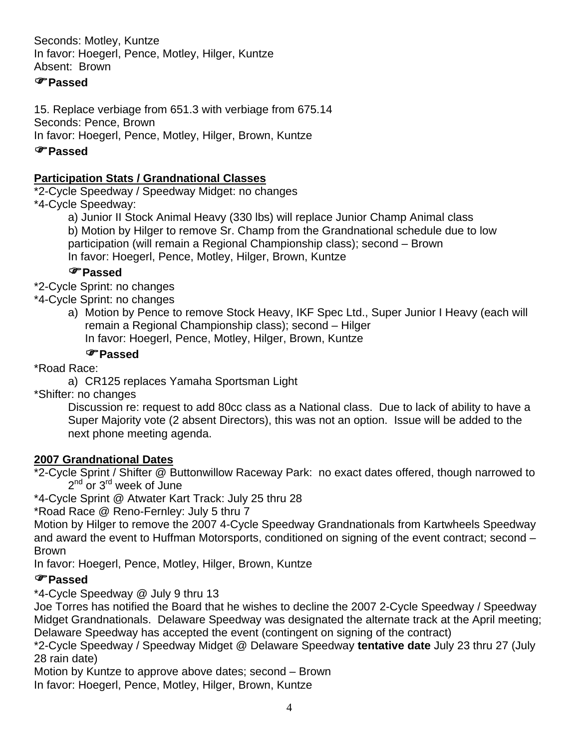Seconds: Motley, Kuntze In favor: Hoegerl, Pence, Motley, Hilger, Kuntze Absent: Brown

# )**Passed**

15. Replace verbiage from 651.3 with verbiage from 675.14 Seconds: Pence, Brown In favor: Hoegerl, Pence, Motley, Hilger, Brown, Kuntze

# )**Passed**

# **Participation Stats / Grandnational Classes**

\*2-Cycle Speedway / Speedway Midget: no changes

\*4-Cycle Speedway:

 a) Junior II Stock Animal Heavy (330 lbs) will replace Junior Champ Animal class b) Motion by Hilger to remove Sr. Champ from the Grandnational schedule due to low participation (will remain a Regional Championship class); second – Brown In favor: Hoegerl, Pence, Motley, Hilger, Brown, Kuntze

# )**Passed**

\*2-Cycle Sprint: no changes

- \*4-Cycle Sprint: no changes
	- a) Motion by Pence to remove Stock Heavy, IKF Spec Ltd., Super Junior I Heavy (each will remain a Regional Championship class); second – Hilger In favor: Hoegerl, Pence, Motley, Hilger, Brown, Kuntze

# )**Passed**

\*Road Race:

a) CR125 replaces Yamaha Sportsman Light

\*Shifter: no changes

 Discussion re: request to add 80cc class as a National class. Due to lack of ability to have a Super Majority vote (2 absent Directors), this was not an option. Issue will be added to the next phone meeting agenda.

#### **2007 Grandnational Dates**

\*2-Cycle Sprint / Shifter @ Buttonwillow Raceway Park: no exact dates offered, though narrowed to  $2^{nd}$  or  $3^{rd}$  week of June

\*4-Cycle Sprint @ Atwater Kart Track: July 25 thru 28

\*Road Race @ Reno-Fernley: July 5 thru 7

Motion by Hilger to remove the 2007 4-Cycle Speedway Grandnationals from Kartwheels Speedway and award the event to Huffman Motorsports, conditioned on signing of the event contract; second – Brown

In favor: Hoegerl, Pence, Motley, Hilger, Brown, Kuntze

# )**Passed**

\*4-Cycle Speedway @ July 9 thru 13

Joe Torres has notified the Board that he wishes to decline the 2007 2-Cycle Speedway / Speedway Midget Grandnationals. Delaware Speedway was designated the alternate track at the April meeting; Delaware Speedway has accepted the event (contingent on signing of the contract)

\*2-Cycle Speedway / Speedway Midget @ Delaware Speedway **tentative date** July 23 thru 27 (July 28 rain date)

Motion by Kuntze to approve above dates; second – Brown In favor: Hoegerl, Pence, Motley, Hilger, Brown, Kuntze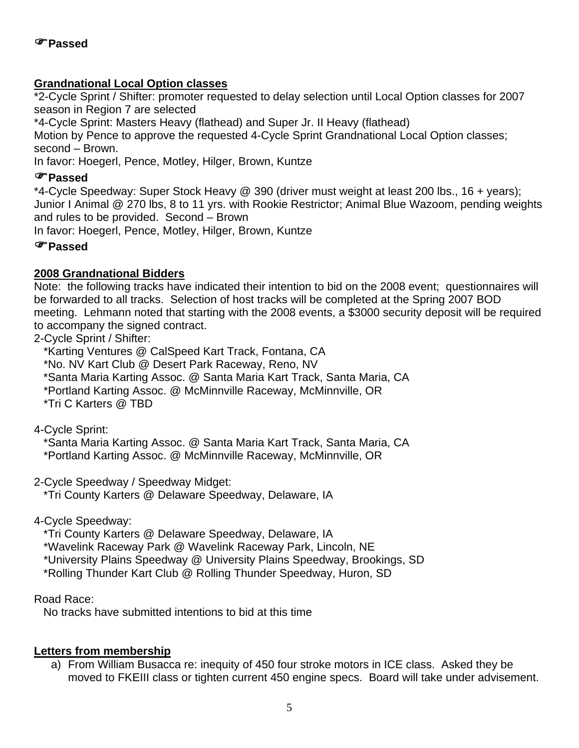## **Grandnational Local Option classes**

\*2-Cycle Sprint / Shifter: promoter requested to delay selection until Local Option classes for 2007 season in Region 7 are selected

\*4-Cycle Sprint: Masters Heavy (flathead) and Super Jr. II Heavy (flathead)

Motion by Pence to approve the requested 4-Cycle Sprint Grandnational Local Option classes; second – Brown.

In favor: Hoegerl, Pence, Motley, Hilger, Brown, Kuntze

#### )**Passed**

\*4-Cycle Speedway: Super Stock Heavy @ 390 (driver must weight at least 200 lbs., 16 + years); Junior I Animal @ 270 lbs, 8 to 11 yrs. with Rookie Restrictor; Animal Blue Wazoom, pending weights and rules to be provided. Second – Brown

In favor: Hoegerl, Pence, Motley, Hilger, Brown, Kuntze

# )**Passed**

#### **2008 Grandnational Bidders**

Note: the following tracks have indicated their intention to bid on the 2008 event; questionnaires will be forwarded to all tracks. Selection of host tracks will be completed at the Spring 2007 BOD meeting. Lehmann noted that starting with the 2008 events, a \$3000 security deposit will be required to accompany the signed contract.

2-Cycle Sprint / Shifter:

\*Karting Ventures @ CalSpeed Kart Track, Fontana, CA

\*No. NV Kart Club @ Desert Park Raceway, Reno, NV

\*Santa Maria Karting Assoc. @ Santa Maria Kart Track, Santa Maria, CA

\*Portland Karting Assoc. @ McMinnville Raceway, McMinnville, OR

\*Tri C Karters @ TBD

4-Cycle Sprint:

\*Santa Maria Karting Assoc. @ Santa Maria Kart Track, Santa Maria, CA

\*Portland Karting Assoc. @ McMinnville Raceway, McMinnville, OR

2-Cycle Speedway / Speedway Midget:

\*Tri County Karters @ Delaware Speedway, Delaware, IA

4-Cycle Speedway:

\*Tri County Karters @ Delaware Speedway, Delaware, IA

\*Wavelink Raceway Park @ Wavelink Raceway Park, Lincoln, NE

\*University Plains Speedway @ University Plains Speedway, Brookings, SD

\*Rolling Thunder Kart Club @ Rolling Thunder Speedway, Huron, SD

Road Race:

No tracks have submitted intentions to bid at this time

# **Letters from membership**

a) From William Busacca re: inequity of 450 four stroke motors in ICE class. Asked they be moved to FKEIII class or tighten current 450 engine specs. Board will take under advisement.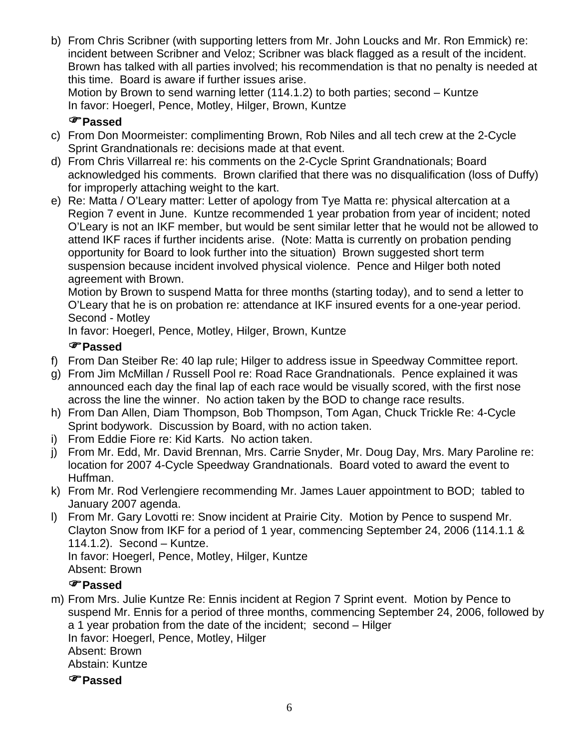b) From Chris Scribner (with supporting letters from Mr. John Loucks and Mr. Ron Emmick) re: incident between Scribner and Veloz; Scribner was black flagged as a result of the incident. Brown has talked with all parties involved; his recommendation is that no penalty is needed at this time. Board is aware if further issues arise.

Motion by Brown to send warning letter (114.1.2) to both parties; second – Kuntze In favor: Hoegerl, Pence, Motley, Hilger, Brown, Kuntze

# )**Passed**

- c) From Don Moormeister: complimenting Brown, Rob Niles and all tech crew at the 2-Cycle Sprint Grandnationals re: decisions made at that event.
- d) From Chris Villarreal re: his comments on the 2-Cycle Sprint Grandnationals; Board acknowledged his comments. Brown clarified that there was no disqualification (loss of Duffy) for improperly attaching weight to the kart.
- e) Re: Matta / O'Leary matter: Letter of apology from Tye Matta re: physical altercation at a Region 7 event in June. Kuntze recommended 1 year probation from year of incident; noted O'Leary is not an IKF member, but would be sent similar letter that he would not be allowed to attend IKF races if further incidents arise. (Note: Matta is currently on probation pending opportunity for Board to look further into the situation) Brown suggested short term suspension because incident involved physical violence. Pence and Hilger both noted agreement with Brown.

Motion by Brown to suspend Matta for three months (starting today), and to send a letter to O'Leary that he is on probation re: attendance at IKF insured events for a one-year period. Second - Motley

In favor: Hoegerl, Pence, Motley, Hilger, Brown, Kuntze

# )**Passed**

- f) From Dan Steiber Re: 40 lap rule; Hilger to address issue in Speedway Committee report.
- g) From Jim McMillan / Russell Pool re: Road Race Grandnationals. Pence explained it was announced each day the final lap of each race would be visually scored, with the first nose across the line the winner. No action taken by the BOD to change race results.
- h) From Dan Allen, Diam Thompson, Bob Thompson, Tom Agan, Chuck Trickle Re: 4-Cycle Sprint bodywork. Discussion by Board, with no action taken.
- i) From Eddie Fiore re: Kid Karts. No action taken.
- j) From Mr. Edd, Mr. David Brennan, Mrs. Carrie Snyder, Mr. Doug Day, Mrs. Mary Paroline re: location for 2007 4-Cycle Speedway Grandnationals. Board voted to award the event to Huffman.
- k) From Mr. Rod Verlengiere recommending Mr. James Lauer appointment to BOD; tabled to January 2007 agenda.
- l) From Mr. Gary Lovotti re: Snow incident at Prairie City. Motion by Pence to suspend Mr. Clayton Snow from IKF for a period of 1 year, commencing September 24, 2006 (114.1.1 & 114.1.2). Second – Kuntze. In favor: Hoegerl, Pence, Motley, Hilger, Kuntze

Absent: Brown

# )**Passed**

m) From Mrs. Julie Kuntze Re: Ennis incident at Region 7 Sprint event. Motion by Pence to suspend Mr. Ennis for a period of three months, commencing September 24, 2006, followed by a 1 year probation from the date of the incident; second – Hilger In favor: Hoegerl, Pence, Motley, Hilger Absent: Brown Abstain: Kuntze

)**Passed**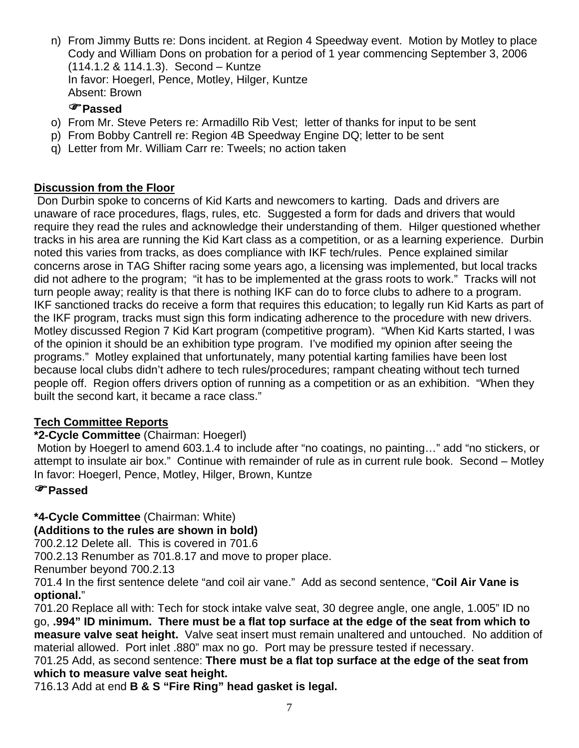n) From Jimmy Butts re: Dons incident. at Region 4 Speedway event. Motion by Motley to place Cody and William Dons on probation for a period of 1 year commencing September 3, 2006 (114.1.2 & 114.1.3). Second – Kuntze In favor: Hoegerl, Pence, Motley, Hilger, Kuntze Absent: Brown

# )**Passed**

- o) From Mr. Steve Peters re: Armadillo Rib Vest; letter of thanks for input to be sent
- p) From Bobby Cantrell re: Region 4B Speedway Engine DQ; letter to be sent
- q) Letter from Mr. William Carr re: Tweels; no action taken

# **Discussion from the Floor**

 Don Durbin spoke to concerns of Kid Karts and newcomers to karting. Dads and drivers are unaware of race procedures, flags, rules, etc. Suggested a form for dads and drivers that would require they read the rules and acknowledge their understanding of them. Hilger questioned whether tracks in his area are running the Kid Kart class as a competition, or as a learning experience. Durbin noted this varies from tracks, as does compliance with IKF tech/rules. Pence explained similar concerns arose in TAG Shifter racing some years ago, a licensing was implemented, but local tracks did not adhere to the program; "it has to be implemented at the grass roots to work." Tracks will not turn people away; reality is that there is nothing IKF can do to force clubs to adhere to a program. IKF sanctioned tracks do receive a form that requires this education; to legally run Kid Karts as part of the IKF program, tracks must sign this form indicating adherence to the procedure with new drivers. Motley discussed Region 7 Kid Kart program (competitive program). "When Kid Karts started, I was of the opinion it should be an exhibition type program. I've modified my opinion after seeing the programs." Motley explained that unfortunately, many potential karting families have been lost because local clubs didn't adhere to tech rules/procedures; rampant cheating without tech turned people off. Region offers drivers option of running as a competition or as an exhibition. "When they built the second kart, it became a race class."

# **Tech Committee Reports**

# **\*2-Cycle Committee** (Chairman: Hoegerl)

 Motion by Hoegerl to amend 603.1.4 to include after "no coatings, no painting…" add "no stickers, or attempt to insulate air box." Continue with remainder of rule as in current rule book. Second – Motley In favor: Hoegerl, Pence, Motley, Hilger, Brown, Kuntze

#### )**Passed**

**\*4-Cycle Committee** (Chairman: White)

**(Additions to the rules are shown in bold)**

700.2.12 Delete all. This is covered in 701.6

700.2.13 Renumber as 701.8.17 and move to proper place.

Renumber beyond 700.2.13

701.4 In the first sentence delete "and coil air vane." Add as second sentence, "**Coil Air Vane is optional.**"

701.20 Replace all with: Tech for stock intake valve seat, 30 degree angle, one angle, 1.005" ID no go, **.994" ID minimum. There must be a flat top surface at the edge of the seat from which to measure valve seat height.** Valve seat insert must remain unaltered and untouched. No addition of material allowed. Port inlet .880" max no go. Port may be pressure tested if necessary.

701.25 Add, as second sentence: **There must be a flat top surface at the edge of the seat from which to measure valve seat height.** 

716.13 Add at end **B & S "Fire Ring" head gasket is legal.**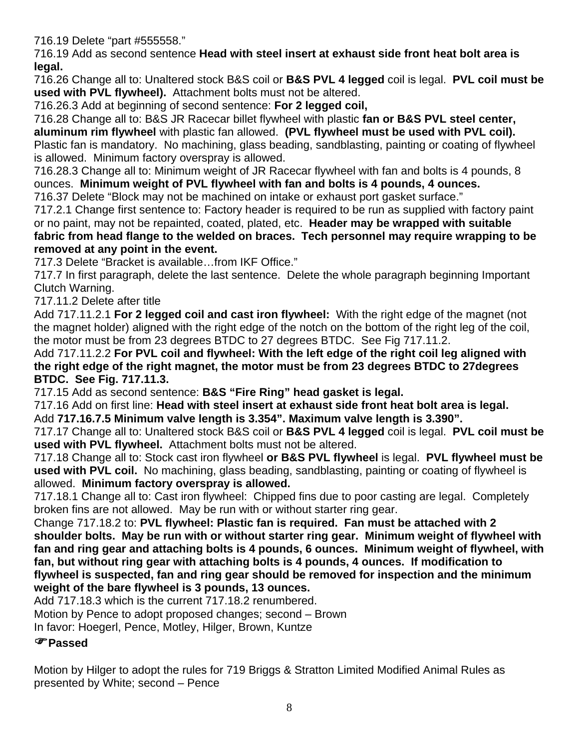716.19 Delete "part #555558."

716.19 Add as second sentence **Head with steel insert at exhaust side front heat bolt area is legal.** 

716.26 Change all to: Unaltered stock B&S coil or **B&S PVL 4 legged** coil is legal. **PVL coil must be used with PVL flywheel).** Attachment bolts must not be altered.

716.26.3 Add at beginning of second sentence: **For 2 legged coil,**

716.28 Change all to: B&S JR Racecar billet flywheel with plastic **fan or B&S PVL steel center, aluminum rim flywheel** with plastic fan allowed. **(PVL flywheel must be used with PVL coil).** Plastic fan is mandatory. No machining, glass beading, sandblasting, painting or coating of flywheel is allowed. Minimum factory overspray is allowed.

716.28.3 Change all to: Minimum weight of JR Racecar flywheel with fan and bolts is 4 pounds, 8 ounces. **Minimum weight of PVL flywheel with fan and bolts is 4 pounds, 4 ounces.**

716.37 Delete "Block may not be machined on intake or exhaust port gasket surface."

717.2.1 Change first sentence to: Factory header is required to be run as supplied with factory paint or no paint, may not be repainted, coated, plated, etc. **Header may be wrapped with suitable fabric from head flange to the welded on braces. Tech personnel may require wrapping to be removed at any point in the event.**

717.3 Delete "Bracket is available…from IKF Office."

717.7 In first paragraph, delete the last sentence. Delete the whole paragraph beginning Important Clutch Warning.

717.11.2 Delete after title

Add 717.11.2.1 **For 2 legged coil and cast iron flywheel:** With the right edge of the magnet (not the magnet holder) aligned with the right edge of the notch on the bottom of the right leg of the coil, the motor must be from 23 degrees BTDC to 27 degrees BTDC. See Fig 717.11.2.

Add 717.11.2.2 **For PVL coil and flywheel: With the left edge of the right coil leg aligned with the right edge of the right magnet, the motor must be from 23 degrees BTDC to 27degrees BTDC. See Fig. 717.11.3.** 

717.15 Add as second sentence: **B&S "Fire Ring" head gasket is legal.** 

717.16 Add on first line: **Head with steel insert at exhaust side front heat bolt area is legal.**  Add **717.16.7.5 Minimum valve length is 3.354". Maximum valve length is 3.390".** 

717.17 Change all to: Unaltered stock B&S coil or **B&S PVL 4 legged** coil is legal. **PVL coil must be used with PVL flywheel.** Attachment bolts must not be altered.

717.18 Change all to: Stock cast iron flywheel **or B&S PVL flywheel** is legal. **PVL flywheel must be used with PVL coil.** No machining, glass beading, sandblasting, painting or coating of flywheel is allowed. **Minimum factory overspray is allowed.**

717.18.1 Change all to: Cast iron flywheel: Chipped fins due to poor casting are legal. Completely broken fins are not allowed. May be run with or without starter ring gear.

Change 717.18.2 to: **PVL flywheel: Plastic fan is required. Fan must be attached with 2 shoulder bolts. May be run with or without starter ring gear. Minimum weight of flywheel with fan and ring gear and attaching bolts is 4 pounds, 6 ounces. Minimum weight of flywheel, with fan, but without ring gear with attaching bolts is 4 pounds, 4 ounces. If modification to flywheel is suspected, fan and ring gear should be removed for inspection and the minimum weight of the bare flywheel is 3 pounds, 13 ounces.** 

Add 717.18.3 which is the current 717.18.2 renumbered.

Motion by Pence to adopt proposed changes; second – Brown

In favor: Hoegerl, Pence, Motley, Hilger, Brown, Kuntze

# )**Passed**

Motion by Hilger to adopt the rules for 719 Briggs & Stratton Limited Modified Animal Rules as presented by White; second – Pence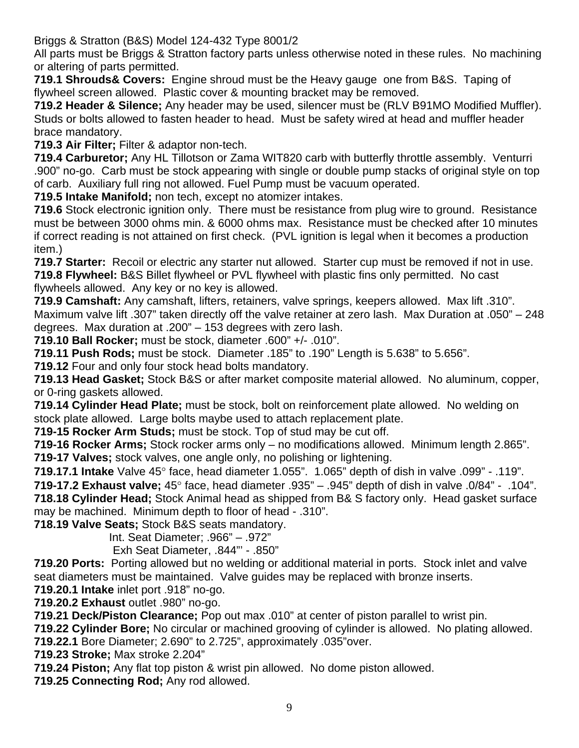Briggs & Stratton (B&S) Model 124-432 Type 8001/2

All parts must be Briggs & Stratton factory parts unless otherwise noted in these rules. No machining or altering of parts permitted.

**719.1 Shrouds& Covers:** Engine shroud must be the Heavy gauge one from B&S. Taping of flywheel screen allowed. Plastic cover & mounting bracket may be removed.

**719.2 Header & Silence;** Any header may be used, silencer must be (RLV B91MO Modified Muffler). Studs or bolts allowed to fasten header to head. Must be safety wired at head and muffler header brace mandatory.

**719.3 Air Filter;** Filter & adaptor non-tech.

**719.4 Carburetor;** Any HL Tillotson or Zama WIT820 carb with butterfly throttle assembly. Venturri .900" no-go. Carb must be stock appearing with single or double pump stacks of original style on top of carb. Auxiliary full ring not allowed. Fuel Pump must be vacuum operated.

**719.5 Intake Manifold;** non tech, except no atomizer intakes.

**719.6** Stock electronic ignition only. There must be resistance from plug wire to ground. Resistance must be between 3000 ohms min. & 6000 ohms max. Resistance must be checked after 10 minutes if correct reading is not attained on first check. (PVL ignition is legal when it becomes a production item.)

**719.7 Starter:** Recoil or electric any starter nut allowed. Starter cup must be removed if not in use. **719.8 Flywheel:** B&S Billet flywheel or PVL flywheel with plastic fins only permitted. No cast flywheels allowed. Any key or no key is allowed.

**719.9 Camshaft:** Any camshaft, lifters, retainers, valve springs, keepers allowed. Max lift .310". Maximum valve lift .307" taken directly off the valve retainer at zero lash. Max Duration at .050" – 248 degrees. Max duration at .200" – 153 degrees with zero lash.

**719.10 Ball Rocker;** must be stock, diameter .600" +/- .010".

**719.11 Push Rods;** must be stock. Diameter .185" to .190" Length is 5.638" to 5.656".

**719.12** Four and only four stock head bolts mandatory.

**719.13 Head Gasket;** Stock B&S or after market composite material allowed. No aluminum, copper, or 0-ring gaskets allowed.

**719.14 Cylinder Head Plate;** must be stock, bolt on reinforcement plate allowed. No welding on stock plate allowed. Large bolts maybe used to attach replacement plate.

**719-15 Rocker Arm Studs;** must be stock. Top of stud may be cut off.

**719-16 Rocker Arms;** Stock rocker arms only – no modifications allowed. Minimum length 2.865". **719-17 Valves;** stock valves, one angle only, no polishing or lightening.

**719.17.1 Intake** Valve 45° face, head diameter 1.055". 1.065" depth of dish in valve .099" - .119". **719-17.2 Exhaust valve;** 45° face, head diameter .935" – .945" depth of dish in valve .0/84" - .104".

**718.18 Cylinder Head;** Stock Animal head as shipped from B& S factory only. Head gasket surface may be machined. Minimum depth to floor of head - .310".

**718.19 Valve Seats;** Stock B&S seats mandatory.

Int. Seat Diameter; .966" – .972"

Exh Seat Diameter, .844"' - .850"

**719.20 Ports:** Porting allowed but no welding or additional material in ports. Stock inlet and valve seat diameters must be maintained. Valve guides may be replaced with bronze inserts.

**719.20.1 Intake** inlet port .918" no-go.

**719.20.2 Exhaust** outlet .980" no-go.

**719.21 Deck/Piston Clearance;** Pop out max .010" at center of piston parallel to wrist pin.

**719.22 Cylinder Bore;** No circular or machined grooving of cylinder is allowed. No plating allowed.

**719.22.1** Bore Diameter; 2.690" to 2.725", approximately .035"over.

**719.23 Stroke;** Max stroke 2.204"

**719.24 Piston;** Any flat top piston & wrist pin allowed. No dome piston allowed.

**719.25 Connecting Rod;** Any rod allowed.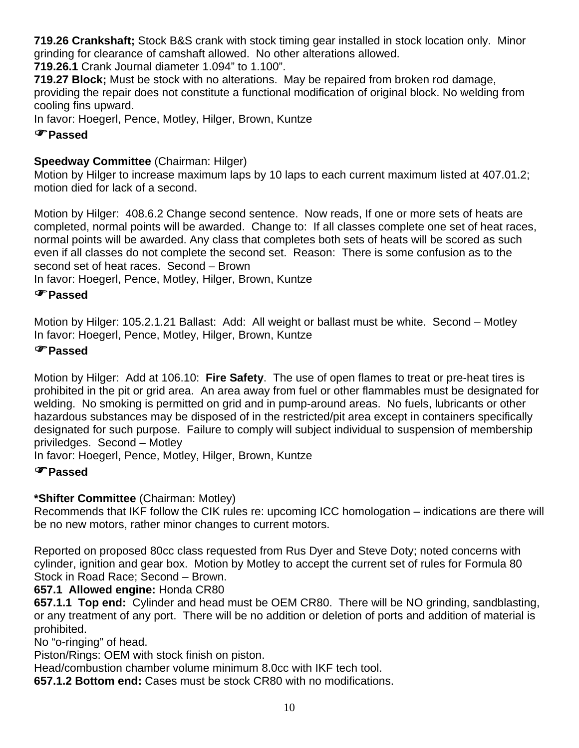**719.26 Crankshaft;** Stock B&S crank with stock timing gear installed in stock location only. Minor grinding for clearance of camshaft allowed. No other alterations allowed.

**719.26.1** Crank Journal diameter 1.094" to 1.100".

**719.27 Block;** Must be stock with no alterations. May be repaired from broken rod damage, providing the repair does not constitute a functional modification of original block. No welding from cooling fins upward.

In favor: Hoegerl, Pence, Motley, Hilger, Brown, Kuntze

# )**Passed**

# **Speedway Committee** (Chairman: Hilger)

Motion by Hilger to increase maximum laps by 10 laps to each current maximum listed at 407.01.2; motion died for lack of a second.

Motion by Hilger: 408.6.2 Change second sentence. Now reads, If one or more sets of heats are completed, normal points will be awarded. Change to: If all classes complete one set of heat races, normal points will be awarded. Any class that completes both sets of heats will be scored as such even if all classes do not complete the second set. Reason: There is some confusion as to the second set of heat races. Second – Brown

In favor: Hoegerl, Pence, Motley, Hilger, Brown, Kuntze

# )**Passed**

Motion by Hilger: 105.2.1.21 Ballast: Add: All weight or ballast must be white. Second – Motley In favor: Hoegerl, Pence, Motley, Hilger, Brown, Kuntze

# )**Passed**

Motion by Hilger: Add at 106.10: **Fire Safety**. The use of open flames to treat or pre-heat tires is prohibited in the pit or grid area. An area away from fuel or other flammables must be designated for welding. No smoking is permitted on grid and in pump-around areas. No fuels, lubricants or other hazardous substances may be disposed of in the restricted/pit area except in containers specifically designated for such purpose. Failure to comply will subject individual to suspension of membership priviledges. Second – Motley

In favor: Hoegerl, Pence, Motley, Hilger, Brown, Kuntze

# )**Passed**

# **\*Shifter Committee** (Chairman: Motley)

Recommends that IKF follow the CIK rules re: upcoming ICC homologation – indications are there will be no new motors, rather minor changes to current motors.

Reported on proposed 80cc class requested from Rus Dyer and Steve Doty; noted concerns with cylinder, ignition and gear box. Motion by Motley to accept the current set of rules for Formula 80 Stock in Road Race; Second – Brown.

**657.1 Allowed engine:** Honda CR80

**657.1.1 Top end:** Cylinder and head must be OEM CR80. There will be NO grinding, sandblasting, or any treatment of any port. There will be no addition or deletion of ports and addition of material is prohibited.

No "o-ringing" of head.

Piston/Rings: OEM with stock finish on piston.

Head/combustion chamber volume minimum 8.0cc with IKF tech tool.

**657.1.2 Bottom end:** Cases must be stock CR80 with no modifications.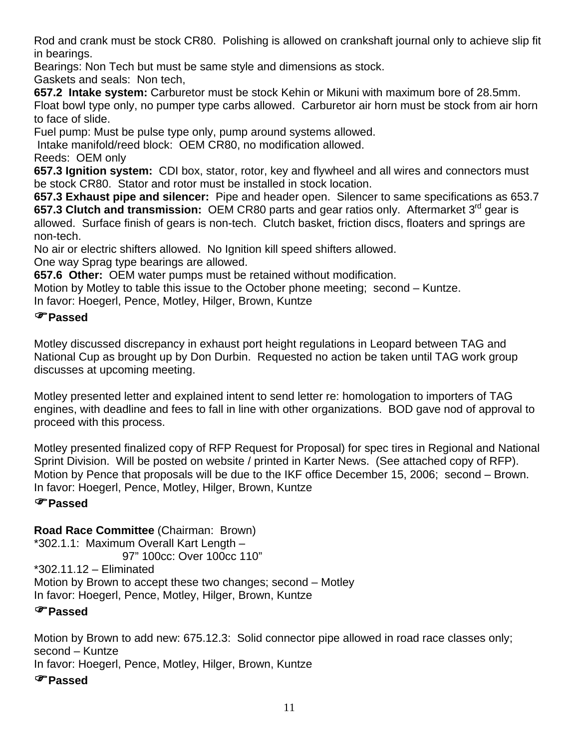Rod and crank must be stock CR80. Polishing is allowed on crankshaft journal only to achieve slip fit in bearings.

Bearings: Non Tech but must be same style and dimensions as stock.

Gaskets and seals: Non tech,

**657.2 Intake system:** Carburetor must be stock Kehin or Mikuni with maximum bore of 28.5mm. Float bowl type only, no pumper type carbs allowed. Carburetor air horn must be stock from air horn to face of slide.

Fuel pump: Must be pulse type only, pump around systems allowed.

Intake manifold/reed block: OEM CR80, no modification allowed.

Reeds: OEM only

**657.3 Ignition system:** CDI box, stator, rotor, key and flywheel and all wires and connectors must be stock CR80. Stator and rotor must be installed in stock location.

**657.3 Exhaust pipe and silencer:** Pipe and header open. Silencer to same specifications as 653.7 **657.3 Clutch and transmission:** OEM CR80 parts and gear ratios only. Aftermarket 3rd gear is allowed. Surface finish of gears is non-tech. Clutch basket, friction discs, floaters and springs are non-tech.

No air or electric shifters allowed. No Ignition kill speed shifters allowed.

One way Sprag type bearings are allowed.

**657.6 Other:** OEM water pumps must be retained without modification.

Motion by Motley to table this issue to the October phone meeting; second – Kuntze.

In favor: Hoegerl, Pence, Motley, Hilger, Brown, Kuntze

# )**Passed**

Motley discussed discrepancy in exhaust port height regulations in Leopard between TAG and National Cup as brought up by Don Durbin. Requested no action be taken until TAG work group discusses at upcoming meeting.

Motley presented letter and explained intent to send letter re: homologation to importers of TAG engines, with deadline and fees to fall in line with other organizations. BOD gave nod of approval to proceed with this process.

Motley presented finalized copy of RFP Request for Proposal) for spec tires in Regional and National Sprint Division. Will be posted on website / printed in Karter News. (See attached copy of RFP). Motion by Pence that proposals will be due to the IKF office December 15, 2006; second – Brown. In favor: Hoegerl, Pence, Motley, Hilger, Brown, Kuntze

# )**Passed**

**Road Race Committee** (Chairman: Brown)

\*302.1.1: Maximum Overall Kart Length – 97" 100cc: Over 100cc 110" \*302.11.12 – Eliminated Motion by Brown to accept these two changes; second – Motley In favor: Hoegerl, Pence, Motley, Hilger, Brown, Kuntze

# )**Passed**

Motion by Brown to add new: 675.12.3: Solid connector pipe allowed in road race classes only; second – Kuntze In favor: Hoegerl, Pence, Motley, Hilger, Brown, Kuntze

# )**Passed**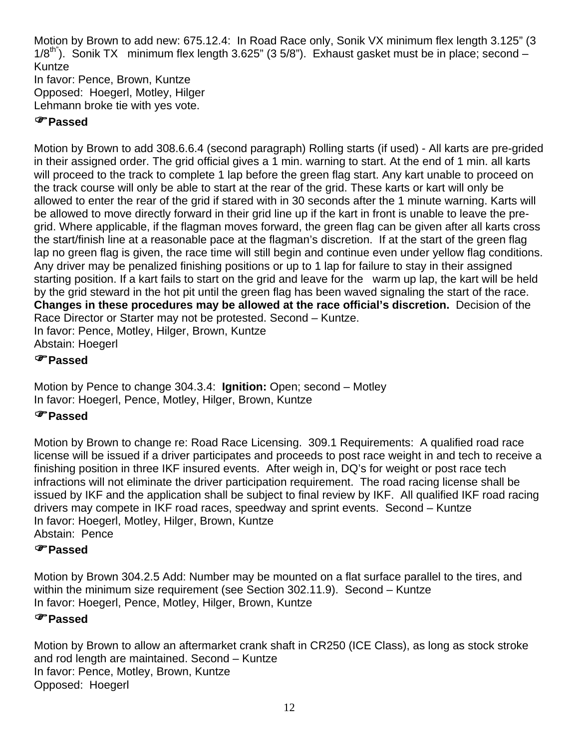Motion by Brown to add new: 675.12.4: In Road Race only, Sonik VX minimum flex length 3.125" (3 1/8<sup>th"</sup>). Sonik TX minimum flex length 3.625" (3 5/8"). Exhaust gasket must be in place; second  $-$ Kuntze In favor: Pence, Brown, Kuntze Opposed: Hoegerl, Motley, Hilger Lehmann broke tie with yes vote.

# )**Passed**

Motion by Brown to add 308.6.6.4 (second paragraph) Rolling starts (if used) - All karts are pre-grided in their assigned order. The grid official gives a 1 min. warning to start. At the end of 1 min. all karts will proceed to the track to complete 1 lap before the green flag start. Any kart unable to proceed on the track course will only be able to start at the rear of the grid. These karts or kart will only be allowed to enter the rear of the grid if stared with in 30 seconds after the 1 minute warning. Karts will be allowed to move directly forward in their grid line up if the kart in front is unable to leave the pregrid. Where applicable, if the flagman moves forward, the green flag can be given after all karts cross the start/finish line at a reasonable pace at the flagman's discretion. If at the start of the green flag lap no green flag is given, the race time will still begin and continue even under yellow flag conditions. Any driver may be penalized finishing positions or up to 1 lap for failure to stay in their assigned starting position. If a kart fails to start on the grid and leave for the warm up lap, the kart will be held by the grid steward in the hot pit until the green flag has been waved signaling the start of the race. **Changes in these procedures may be allowed at the race official's discretion.** Decision of the Race Director or Starter may not be protested. Second – Kuntze. In favor: Pence, Motley, Hilger, Brown, Kuntze

Abstain: Hoegerl

# )**Passed**

Motion by Pence to change 304.3.4: **Ignition:** Open; second – Motley In favor: Hoegerl, Pence, Motley, Hilger, Brown, Kuntze

# )**Passed**

Motion by Brown to change re: Road Race Licensing. 309.1 Requirements: A qualified road race license will be issued if a driver participates and proceeds to post race weight in and tech to receive a finishing position in three IKF insured events. After weigh in, DQ's for weight or post race tech infractions will not eliminate the driver participation requirement. The road racing license shall be issued by IKF and the application shall be subject to final review by IKF. All qualified IKF road racing drivers may compete in IKF road races, speedway and sprint events. Second – Kuntze In favor: Hoegerl, Motley, Hilger, Brown, Kuntze Abstain: Pence

# )**Passed**

Motion by Brown 304.2.5 Add: Number may be mounted on a flat surface parallel to the tires, and within the minimum size requirement (see Section 302.11.9). Second – Kuntze In favor: Hoegerl, Pence, Motley, Hilger, Brown, Kuntze

# )**Passed**

Motion by Brown to allow an aftermarket crank shaft in CR250 (ICE Class), as long as stock stroke and rod length are maintained. Second – Kuntze In favor: Pence, Motley, Brown, Kuntze Opposed: Hoegerl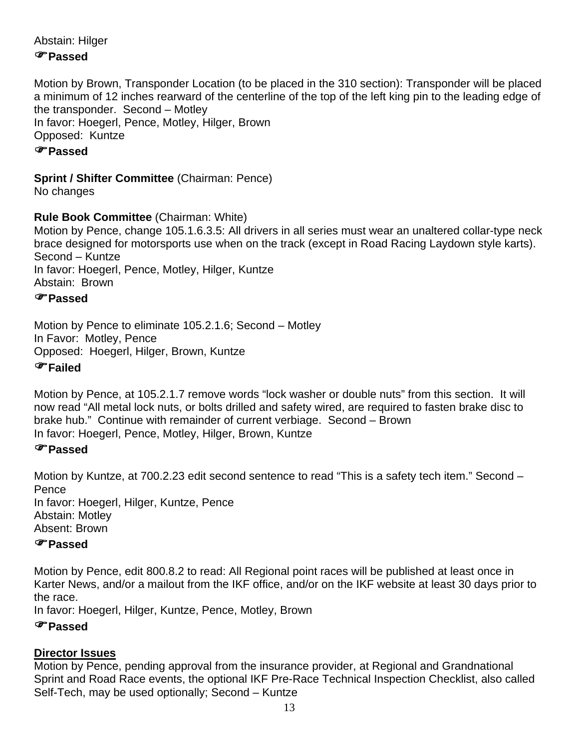Abstain: Hilger

# )**Passed**

Motion by Brown, Transponder Location (to be placed in the 310 section): Transponder will be placed a minimum of 12 inches rearward of the centerline of the top of the left king pin to the leading edge of the transponder. Second – Motley In favor: Hoegerl, Pence, Motley, Hilger, Brown Opposed: Kuntze

# )**Passed**

## **Sprint / Shifter Committee** (Chairman: Pence)

No changes

#### **Rule Book Committee** (Chairman: White)

Motion by Pence, change 105.1.6.3.5: All drivers in all series must wear an unaltered collar-type neck brace designed for motorsports use when on the track (except in Road Racing Laydown style karts). Second – Kuntze

In favor: Hoegerl, Pence, Motley, Hilger, Kuntze

Abstain: Brown

# )**Passed**

Motion by Pence to eliminate 105.2.1.6; Second – Motley In Favor: Motley, Pence Opposed: Hoegerl, Hilger, Brown, Kuntze

#### )**Failed**

Motion by Pence, at 105.2.1.7 remove words "lock washer or double nuts" from this section. It will now read "All metal lock nuts, or bolts drilled and safety wired, are required to fasten brake disc to brake hub." Continue with remainder of current verbiage. Second – Brown In favor: Hoegerl, Pence, Motley, Hilger, Brown, Kuntze

# )**Passed**

Motion by Kuntze, at 700.2.23 edit second sentence to read "This is a safety tech item." Second – **Pence** In favor: Hoegerl, Hilger, Kuntze, Pence Abstain: Motley Absent: Brown

# )**Passed**

Motion by Pence, edit 800.8.2 to read: All Regional point races will be published at least once in Karter News, and/or a mailout from the IKF office, and/or on the IKF website at least 30 days prior to the race.

In favor: Hoegerl, Hilger, Kuntze, Pence, Motley, Brown

# )**Passed**

# **Director Issues**

Motion by Pence, pending approval from the insurance provider, at Regional and Grandnational Sprint and Road Race events, the optional IKF Pre-Race Technical Inspection Checklist, also called Self-Tech, may be used optionally; Second – Kuntze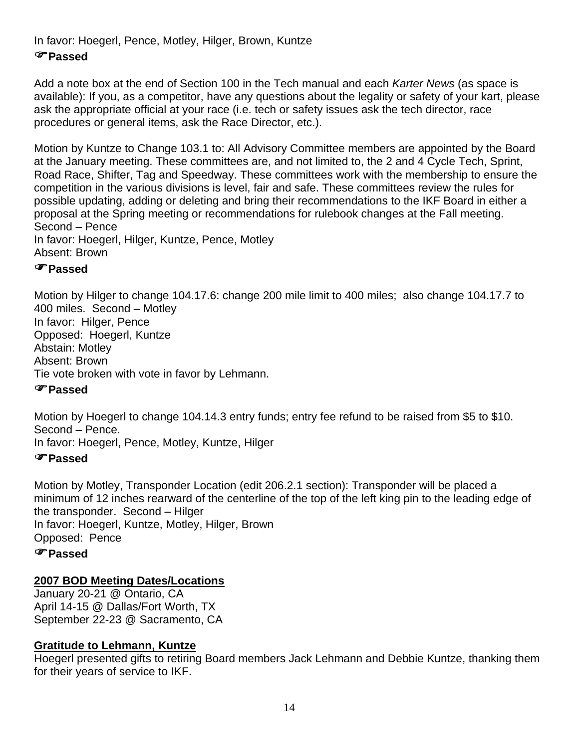In favor: Hoegerl, Pence, Motley, Hilger, Brown, Kuntze

## )**Passed**

Add a note box at the end of Section 100 in the Tech manual and each *Karter News* (as space is available): If you, as a competitor, have any questions about the legality or safety of your kart, please ask the appropriate official at your race (i.e. tech or safety issues ask the tech director, race procedures or general items, ask the Race Director, etc.).

Motion by Kuntze to Change 103.1 to: All Advisory Committee members are appointed by the Board at the January meeting. These committees are, and not limited to, the 2 and 4 Cycle Tech, Sprint, Road Race, Shifter, Tag and Speedway. These committees work with the membership to ensure the competition in the various divisions is level, fair and safe. These committees review the rules for possible updating, adding or deleting and bring their recommendations to the IKF Board in either a proposal at the Spring meeting or recommendations for rulebook changes at the Fall meeting. Second – Pence In favor: Hoegerl, Hilger, Kuntze, Pence, Motley

Absent: Brown

#### )**Passed**

Motion by Hilger to change 104.17.6: change 200 mile limit to 400 miles; also change 104.17.7 to 400 miles. Second – Motley In favor: Hilger, Pence Opposed: Hoegerl, Kuntze Abstain: Motley Absent: Brown Tie vote broken with vote in favor by Lehmann.

#### )**Passed**

Motion by Hoegerl to change 104.14.3 entry funds; entry fee refund to be raised from \$5 to \$10. Second – Pence.

In favor: Hoegerl, Pence, Motley, Kuntze, Hilger

#### )**Passed**

Motion by Motley, Transponder Location (edit 206.2.1 section): Transponder will be placed a minimum of 12 inches rearward of the centerline of the top of the left king pin to the leading edge of the transponder. Second – Hilger In favor: Hoegerl, Kuntze, Motley, Hilger, Brown Opposed: Pence

#### )**Passed**

#### **2007 BOD Meeting Dates/Locations**

January 20-21 @ Ontario, CA April 14-15 @ Dallas/Fort Worth, TX September 22-23 @ Sacramento, CA

#### **Gratitude to Lehmann, Kuntze**

Hoegerl presented gifts to retiring Board members Jack Lehmann and Debbie Kuntze, thanking them for their years of service to IKF.